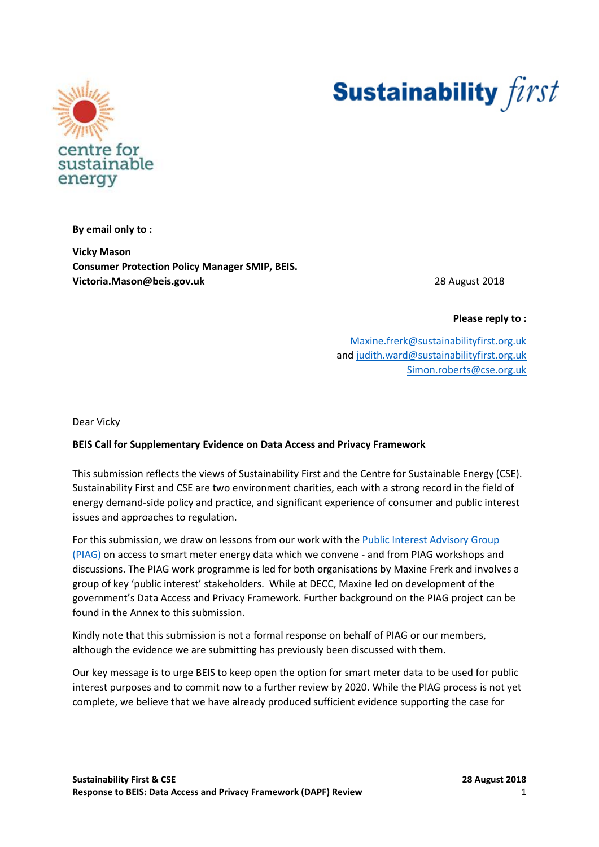



**By email only to :**

**Vicky Mason Consumer Protection Policy Manager SMIP, BEIS. Victoria.Mason@beis.gov.uk** 28 August 2018

**Please reply to :**

[Maxine.frerk@sustainabilityfirst.org.uk](mailto:Maxine.frerk@sustainabilityfirst.org.uk) and [judith.ward@sustainabilityfirst.org.uk](mailto:judith.ward@sustainabilityfirst.org.uk) [Simon.roberts@cse.org.uk](mailto:Simon.roberts@cse.org.uk)

Dear Vicky

## **BEIS Call for Supplementary Evidence on Data Access and Privacy Framework**

This submission reflects the views of Sustainability First and the Centre for Sustainable Energy (CSE). Sustainability First and CSE are two environment charities, each with a strong record in the field of energy demand-side policy and practice, and significant experience of consumer and public interest issues and approaches to regulation.

For this submission, we draw on lessons from our work with the [Public Interest Advisory Group](http://www.smartenergydatapiag.org.uk/)  [\(PIAG\)](http://www.smartenergydatapiag.org.uk/) on access to smart meter energy data which we convene - and from PIAG workshops and discussions. The PIAG work programme is led for both organisations by Maxine Frerk and involves a group of key 'public interest' stakeholders. While at DECC, Maxine led on development of the government's Data Access and Privacy Framework. Further background on the PIAG project can be found in the Annex to this submission.

Kindly note that this submission is not a formal response on behalf of PIAG or our members, although the evidence we are submitting has previously been discussed with them.

Our key message is to urge BEIS to keep open the option for smart meter data to be used for public interest purposes and to commit now to a further review by 2020. While the PIAG process is not yet complete, we believe that we have already produced sufficient evidence supporting the case for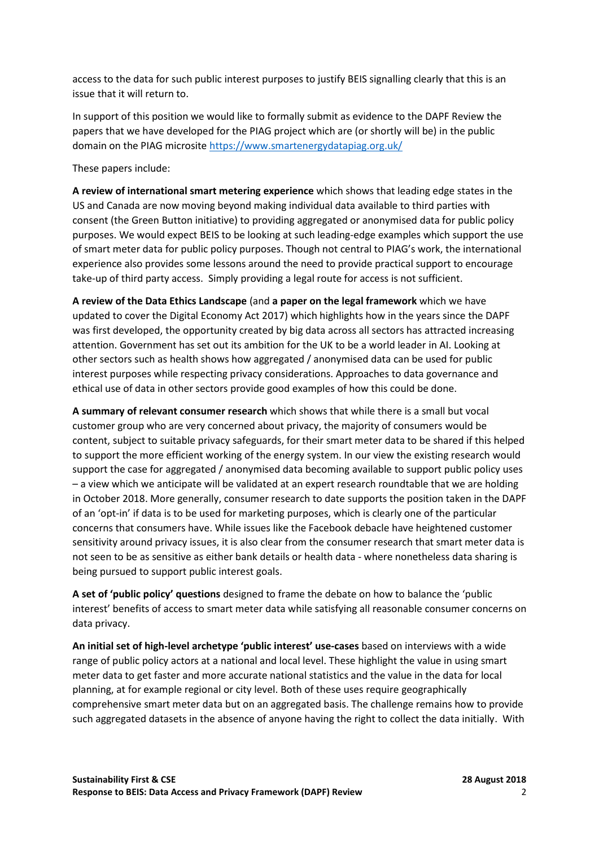access to the data for such public interest purposes to justify BEIS signalling clearly that this is an issue that it will return to.

In support of this position we would like to formally submit as evidence to the DAPF Review the papers that we have developed for the PIAG project which are (or shortly will be) in the public domain on the PIAG microsite<https://www.smartenergydatapiag.org.uk/>

These papers include:

**A review of international smart metering experience** which shows that leading edge states in the US and Canada are now moving beyond making individual data available to third parties with consent (the Green Button initiative) to providing aggregated or anonymised data for public policy purposes. We would expect BEIS to be looking at such leading-edge examples which support the use of smart meter data for public policy purposes. Though not central to PIAG's work, the international experience also provides some lessons around the need to provide practical support to encourage take-up of third party access. Simply providing a legal route for access is not sufficient.

**A review of the Data Ethics Landscape** (and **a paper on the legal framework** which we have updated to cover the Digital Economy Act 2017) which highlights how in the years since the DAPF was first developed, the opportunity created by big data across all sectors has attracted increasing attention. Government has set out its ambition for the UK to be a world leader in AI. Looking at other sectors such as health shows how aggregated / anonymised data can be used for public interest purposes while respecting privacy considerations. Approaches to data governance and ethical use of data in other sectors provide good examples of how this could be done.

**A summary of relevant consumer research** which shows that while there is a small but vocal customer group who are very concerned about privacy, the majority of consumers would be content, subject to suitable privacy safeguards, for their smart meter data to be shared if this helped to support the more efficient working of the energy system. In our view the existing research would support the case for aggregated / anonymised data becoming available to support public policy uses – a view which we anticipate will be validated at an expert research roundtable that we are holding in October 2018. More generally, consumer research to date supports the position taken in the DAPF of an 'opt-in' if data is to be used for marketing purposes, which is clearly one of the particular concerns that consumers have. While issues like the Facebook debacle have heightened customer sensitivity around privacy issues, it is also clear from the consumer research that smart meter data is not seen to be as sensitive as either bank details or health data - where nonetheless data sharing is being pursued to support public interest goals.

**A set of 'public policy' questions** designed to frame the debate on how to balance the 'public interest' benefits of access to smart meter data while satisfying all reasonable consumer concerns on data privacy.

**An initial set of high-level archetype 'public interest' use-cases** based on interviews with a wide range of public policy actors at a national and local level. These highlight the value in using smart meter data to get faster and more accurate national statistics and the value in the data for local planning, at for example regional or city level. Both of these uses require geographically comprehensive smart meter data but on an aggregated basis. The challenge remains how to provide such aggregated datasets in the absence of anyone having the right to collect the data initially. With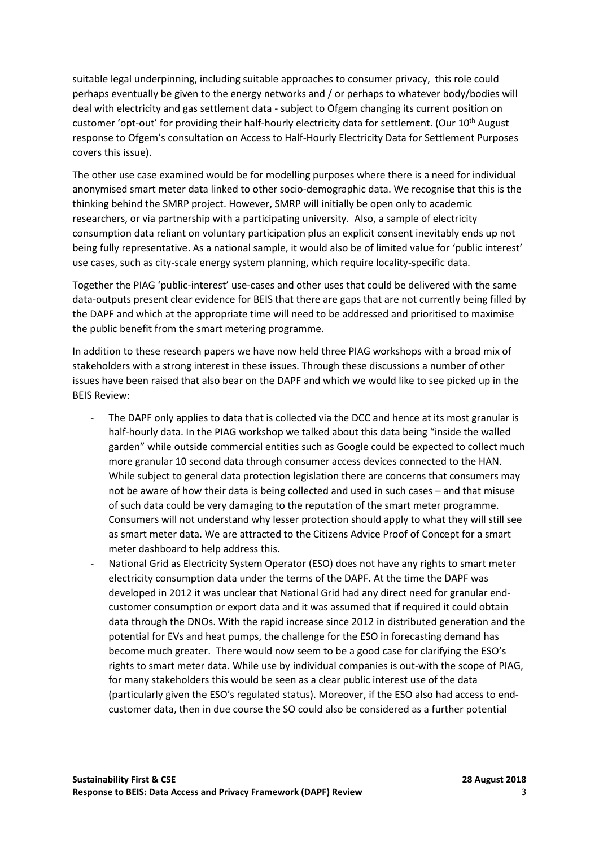suitable legal underpinning, including suitable approaches to consumer privacy, this role could perhaps eventually be given to the energy networks and / or perhaps to whatever body/bodies will deal with electricity and gas settlement data - subject to Ofgem changing its current position on customer 'opt-out' for providing their half-hourly electricity data for settlement. (Our 10<sup>th</sup> August response to Ofgem's consultation on Access to Half-Hourly Electricity Data for Settlement Purposes covers this issue).

The other use case examined would be for modelling purposes where there is a need for individual anonymised smart meter data linked to other socio-demographic data. We recognise that this is the thinking behind the SMRP project. However, SMRP will initially be open only to academic researchers, or via partnership with a participating university. Also, a sample of electricity consumption data reliant on voluntary participation plus an explicit consent inevitably ends up not being fully representative. As a national sample, it would also be of limited value for 'public interest' use cases, such as city-scale energy system planning, which require locality-specific data.

Together the PIAG 'public-interest' use-cases and other uses that could be delivered with the same data-outputs present clear evidence for BEIS that there are gaps that are not currently being filled by the DAPF and which at the appropriate time will need to be addressed and prioritised to maximise the public benefit from the smart metering programme.

In addition to these research papers we have now held three PIAG workshops with a broad mix of stakeholders with a strong interest in these issues. Through these discussions a number of other issues have been raised that also bear on the DAPF and which we would like to see picked up in the BEIS Review:

- The DAPF only applies to data that is collected via the DCC and hence at its most granular is half-hourly data. In the PIAG workshop we talked about this data being "inside the walled garden" while outside commercial entities such as Google could be expected to collect much more granular 10 second data through consumer access devices connected to the HAN. While subject to general data protection legislation there are concerns that consumers may not be aware of how their data is being collected and used in such cases – and that misuse of such data could be very damaging to the reputation of the smart meter programme. Consumers will not understand why lesser protection should apply to what they will still see as smart meter data. We are attracted to the Citizens Advice Proof of Concept for a smart meter dashboard to help address this.
- National Grid as Electricity System Operator (ESO) does not have any rights to smart meter electricity consumption data under the terms of the DAPF. At the time the DAPF was developed in 2012 it was unclear that National Grid had any direct need for granular endcustomer consumption or export data and it was assumed that if required it could obtain data through the DNOs. With the rapid increase since 2012 in distributed generation and the potential for EVs and heat pumps, the challenge for the ESO in forecasting demand has become much greater. There would now seem to be a good case for clarifying the ESO's rights to smart meter data. While use by individual companies is out-with the scope of PIAG, for many stakeholders this would be seen as a clear public interest use of the data (particularly given the ESO's regulated status). Moreover, if the ESO also had access to endcustomer data, then in due course the SO could also be considered as a further potential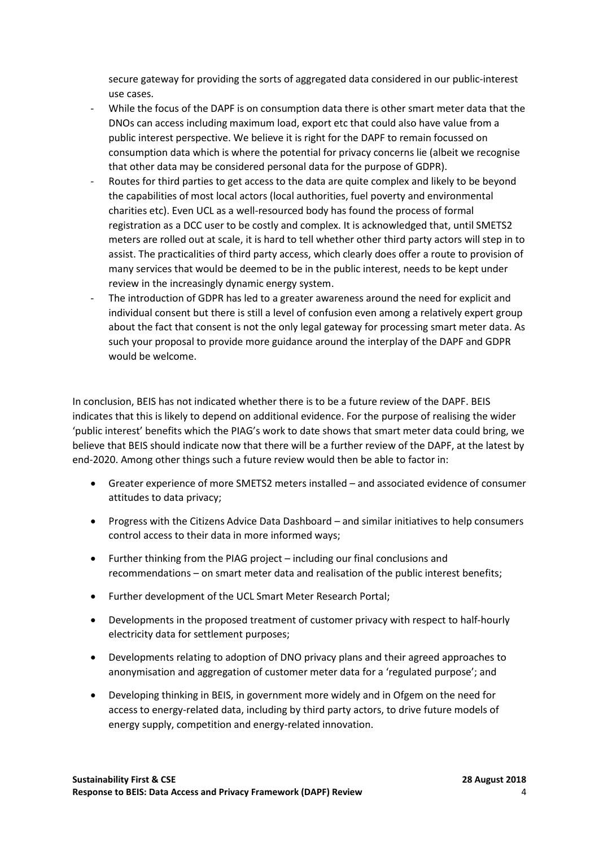secure gateway for providing the sorts of aggregated data considered in our public-interest use cases.

- While the focus of the DAPF is on consumption data there is other smart meter data that the DNOs can access including maximum load, export etc that could also have value from a public interest perspective. We believe it is right for the DAPF to remain focussed on consumption data which is where the potential for privacy concerns lie (albeit we recognise that other data may be considered personal data for the purpose of GDPR).
- Routes for third parties to get access to the data are quite complex and likely to be beyond the capabilities of most local actors (local authorities, fuel poverty and environmental charities etc). Even UCL as a well-resourced body has found the process of formal registration as a DCC user to be costly and complex. It is acknowledged that, until SMETS2 meters are rolled out at scale, it is hard to tell whether other third party actors will step in to assist. The practicalities of third party access, which clearly does offer a route to provision of many services that would be deemed to be in the public interest, needs to be kept under review in the increasingly dynamic energy system.
- The introduction of GDPR has led to a greater awareness around the need for explicit and individual consent but there is still a level of confusion even among a relatively expert group about the fact that consent is not the only legal gateway for processing smart meter data. As such your proposal to provide more guidance around the interplay of the DAPF and GDPR would be welcome.

In conclusion, BEIS has not indicated whether there is to be a future review of the DAPF. BEIS indicates that this is likely to depend on additional evidence. For the purpose of realising the wider 'public interest' benefits which the PIAG's work to date shows that smart meter data could bring, we believe that BEIS should indicate now that there will be a further review of the DAPF, at the latest by end-2020. Among other things such a future review would then be able to factor in:

- Greater experience of more SMETS2 meters installed and associated evidence of consumer attitudes to data privacy;
- Progress with the Citizens Advice Data Dashboard and similar initiatives to help consumers control access to their data in more informed ways;
- Further thinking from the PIAG project including our final conclusions and recommendations – on smart meter data and realisation of the public interest benefits;
- Further development of the UCL Smart Meter Research Portal;
- Developments in the proposed treatment of customer privacy with respect to half-hourly electricity data for settlement purposes;
- Developments relating to adoption of DNO privacy plans and their agreed approaches to anonymisation and aggregation of customer meter data for a 'regulated purpose'; and
- Developing thinking in BEIS, in government more widely and in Ofgem on the need for access to energy-related data, including by third party actors, to drive future models of energy supply, competition and energy-related innovation.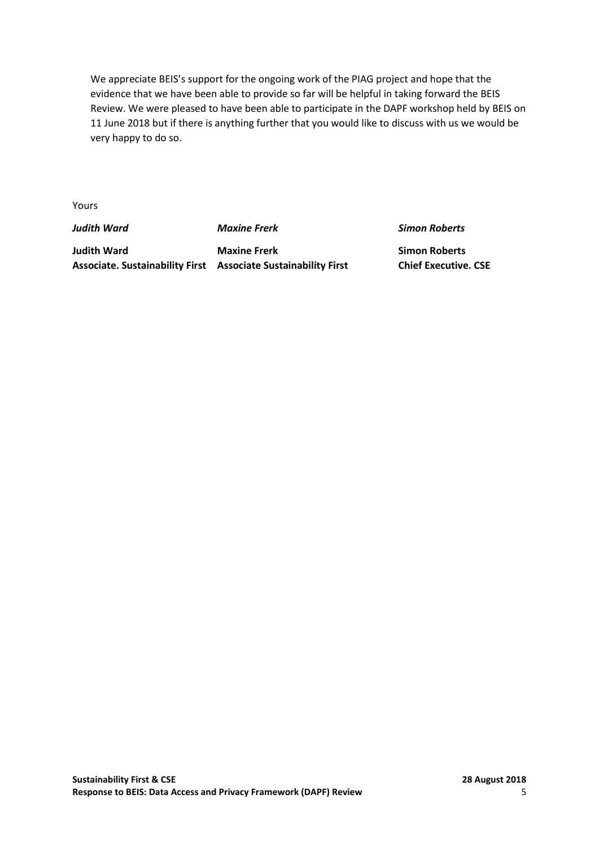We appreciate BEIS's support for the ongoing work of the PIAG project and hope that the evidence that we have been able to provide so far will be helpful in taking forward the BEIS Review. We were pleased to have been able to participate in the DAPF workshop held by BEIS on 11 June 2018 but if there is anything further that you would like to discuss with us we would be very happy to do so.

Yours

*Judith Ward Maxine Frerk Simon Roberts*

**Judith Ward Maxine Frerk Simon Roberts Associate. Sustainability First Associate Sustainability First Chief Executive. CSE**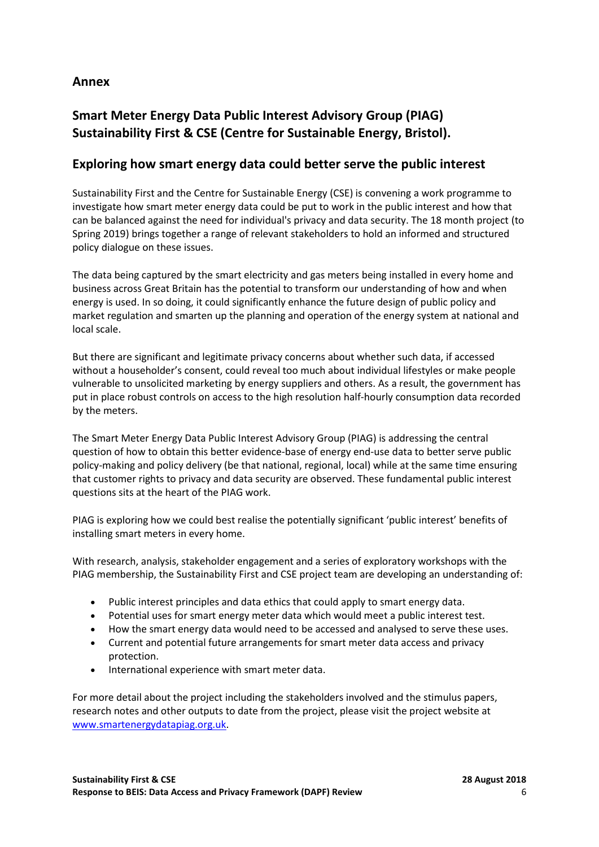# **Annex**

# **Smart Meter Energy Data Public Interest Advisory Group (PIAG) Sustainability First & CSE (Centre for Sustainable Energy, Bristol).**

# **Exploring how smart energy data could better serve the public interest**

Sustainability First and the Centre for Sustainable Energy (CSE) is convening a work programme to investigate how smart meter energy data could be put to work in the public interest and how that can be balanced against the need for individual's privacy and data security. The 18 month project (to Spring 2019) brings together a range of relevant stakeholders to hold an informed and structured policy dialogue on these issues.

The data being captured by the smart electricity and gas meters being installed in every home and business across Great Britain has the potential to transform our understanding of how and when energy is used. In so doing, it could significantly enhance the future design of public policy and market regulation and smarten up the planning and operation of the energy system at national and local scale.

But there are significant and legitimate privacy concerns about whether such data, if accessed without a householder's consent, could reveal too much about individual lifestyles or make people vulnerable to unsolicited marketing by energy suppliers and others. As a result, the government has put in place robust controls on access to the high resolution half-hourly consumption data recorded by the meters.

The Smart Meter Energy Data Public Interest Advisory Group (PIAG) is addressing the central question of how to obtain this better evidence-base of energy end-use data to better serve public policy-making and policy delivery (be that national, regional, local) while at the same time ensuring that customer rights to privacy and data security are observed. These fundamental public interest questions sits at the heart of the PIAG work.

PIAG is exploring how we could best realise the potentially significant 'public interest' benefits of installing smart meters in every home.

With research, analysis, stakeholder engagement and a series of exploratory workshops with the PIAG membership, the Sustainability First and CSE project team are developing an understanding of:

- Public interest principles and data ethics that could apply to smart energy data.
- Potential uses for smart energy meter data which would meet a public interest test.
- How the smart energy data would need to be accessed and analysed to serve these uses.
- Current and potential future arrangements for smart meter data access and privacy protection.
- International experience with smart meter data.

For more detail about the project including the stakeholders involved and the stimulus papers, research notes and other outputs to date from the project, please visit the project website at [www.smartenergydatapiag.org.uk.](http://www.smartenergydatapiag.org.uk/)